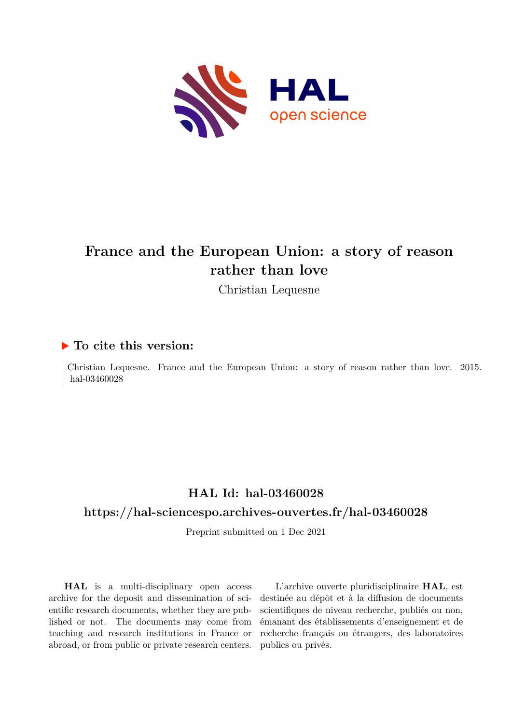

## **France and the European Union: a story of reason rather than love**

Christian Lequesne

#### **To cite this version:**

Christian Lequesne. France and the European Union: a story of reason rather than love. 2015. hal-03460028

### **HAL Id: hal-03460028**

#### **<https://hal-sciencespo.archives-ouvertes.fr/hal-03460028>**

Preprint submitted on 1 Dec 2021

**HAL** is a multi-disciplinary open access archive for the deposit and dissemination of scientific research documents, whether they are published or not. The documents may come from teaching and research institutions in France or abroad, or from public or private research centers.

L'archive ouverte pluridisciplinaire **HAL**, est destinée au dépôt et à la diffusion de documents scientifiques de niveau recherche, publiés ou non, émanant des établissements d'enseignement et de recherche français ou étrangers, des laboratoires publics ou privés.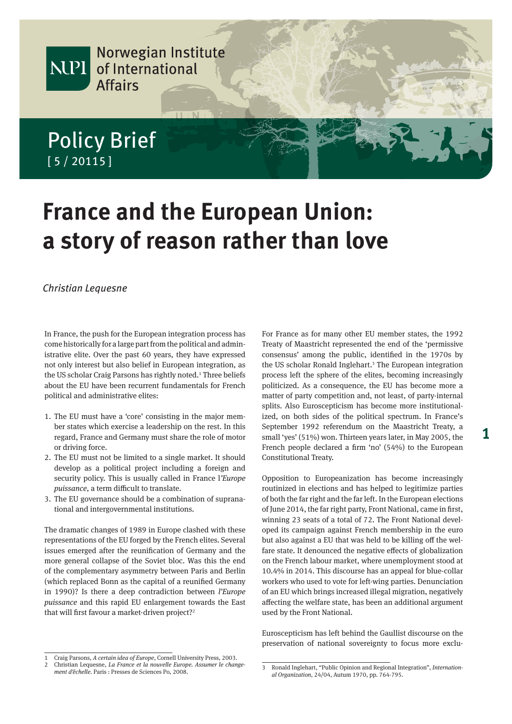

# **France and the European Union: a story of reason rather than love**

#### Christian Lequesne

In France, the push for the European integration process has come historically for a large part from the political and administrative elite. Over the past 60 years, they have expressed not only interest but also belief in European integration, as the US scholar Craig Parsons has rightly noted.<sup>1</sup> Three beliefs about the EU have been recurrent fundamentals for French political and administrative elites:

- 1. The EU must have a 'core' consisting in the major member states which exercise a leadership on the rest. In this regard, France and Germany must share the role of motor or driving force.
- 2. The EU must not be limited to a single market. It should develop as a political project including a foreign and security policy. This is usually called in France l*'Europe puissance*, a term difficult to translate.
- 3. The EU governance should be a combination of supranational and intergovernmental institutions.

The dramatic changes of 1989 in Europe clashed with these representations of the EU forged by the French elites. Several issues emerged after the reunification of Germany and the more general collapse of the Soviet bloc. Was this the end of the complementary asymmetry between Paris and Berlin (which replaced Bonn as the capital of a reunified Germany in 1990)? Is there a deep contradiction between *l'Europe puissance* and this rapid EU enlargement towards the East that will first favour a market-driven project?<sup>2</sup>

For France as for many other EU member states, the 1992 Treaty of Maastricht represented the end of the 'permissive consensus' among the public, identified in the 1970s by the US scholar Ronald Inglehart.<sup>3</sup> The European integration process left the sphere of the elites, becoming increasingly politicized. As a consequence, the EU has become more a matter of party competition and, not least, of party-internal splits. Also Euroscepticism has become more institutionalized, on both sides of the political spectrum. In France's September 1992 referendum on the Maastricht Treaty, a small 'yes' (51%) won. Thirteen years later, in May 2005, the French people declared a firm 'no' (54%) to the European Constitutional Treaty.

Opposition to Europeanization has become increasingly routinized in elections and has helped to legitimize parties of both the far right and the far left. In the European elections of June 2014, the far right party, Front National, came in first, winning 23 seats of a total of 72. The Front National developed its campaign against French membership in the euro but also against a EU that was held to be killing off the welfare state. It denounced the negative effects of globalization on the French labour market, where unemployment stood at 10.4% in 2014. This discourse has an appeal for blue-collar workers who used to vote for left-wing parties. Denunciation of an EU which brings increased illegal migration, negatively affecting the welfare state, has been an additional argument used by the Front National.

Euroscepticism has left behind the Gaullist discourse on the preservation of national sovereignty to focus more exclu-

<sup>1</sup> Craig Parsons, *A certain idea of Europe*, Cornell University Press, 2003.

<sup>2</sup> Christian Lequesne, *La France et la nouvelle Europe. Assumer le changement d'échelle*. Paris : Presses de Sciences Po, 2008. <sup>3</sup> Ronald Inglehart, "Public Opinion and Regional Integration", *Internation-*

*al Organization*, 24/04, Autum 1970, pp. 764-795.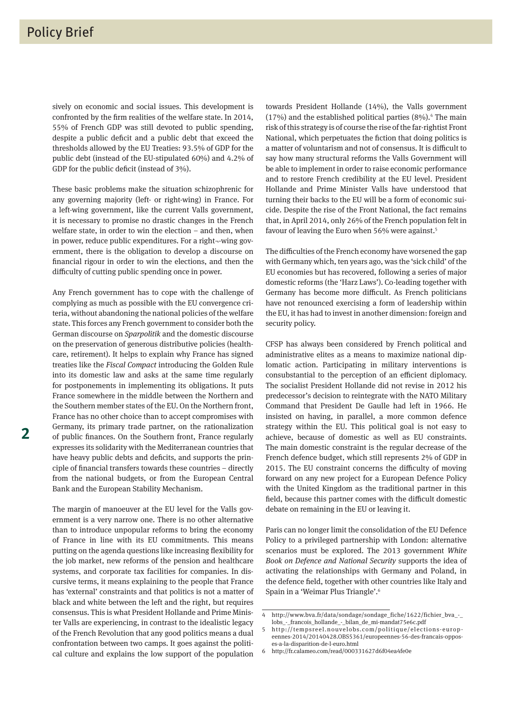sively on economic and social issues. This development is confronted by the firm realities of the welfare state. In 2014, 55% of French GDP was still devoted to public spending, despite a public deficit and a public debt that exceed the thresholds allowed by the EU Treaties: 93.5% of GDP for the public debt (instead of the EU-stipulated 60%) and 4.2% of GDP for the public deficit (instead of 3%).

These basic problems make the situation schizophrenic for any governing majority (left- or right-wing) in France. For a left-wing government, like the current Valls government, it is necessary to promise no drastic changes in the French welfare state, in order to win the election – and then, when in power, reduce public expenditures. For a right--wing government, there is the obligation to develop a discourse on financial rigour in order to win the elections, and then the difficulty of cutting public spending once in power.

Any French government has to cope with the challenge of complying as much as possible with the EU convergence criteria, without abandoning the national policies of the welfare state. This forces any French government to consider both the German discourse on *Sparpolitik* and the domestic discourse on the preservation of generous distributive policies (healthcare, retirement). It helps to explain why France has signed treaties like the *Fiscal Compact* introducing the Golden Rule into its domestic law and asks at the same time regularly for postponements in implementing its obligations. It puts France somewhere in the middle between the Northern and the Southern member states of the EU. On the Northern front, France has no other choice than to accept compromises with Germany, its primary trade partner, on the rationalization of public finances. On the Southern front, France regularly expresses its solidarity with the Mediterranean countries that have heavy public debts and deficits, and supports the principle of financial transfers towards these countries – directly from the national budgets, or from the European Central Bank and the European Stability Mechanism.

The margin of manoeuver at the EU level for the Valls government is a very narrow one. There is no other alternative than to introduce unpopular reforms to bring the economy of France in line with its EU commitments. This means putting on the agenda questions like increasing flexibility for the job market, new reforms of the pension and healthcare systems, and corporate tax facilities for companies. In discursive terms, it means explaining to the people that France has 'external' constraints and that politics is not a matter of black and white between the left and the right, but requires consensus. This is what President Hollande and Prime Minister Valls are experiencing, in contrast to the idealistic legacy of the French Revolution that any good politics means a dual confrontation between two camps. It goes against the political culture and explains the low support of the population

towards President Hollande (14%), the Valls government  $(17%)$  and the established political parties  $(8%)$ .<sup>4</sup> The main risk of this strategy is of course the rise of the far-rightist Front National, which perpetuates the fiction that doing politics is a matter of voluntarism and not of consensus. It is difficult to say how many structural reforms the Valls Government will be able to implement in order to raise economic performance and to restore French credibility at the EU level. President Hollande and Prime Minister Valls have understood that turning their backs to the EU will be a form of economic suicide. Despite the rise of the Front National, the fact remains that, in April 2014, only 26% of the French population felt in favour of leaving the Euro when 56% were against.<sup>5</sup>

The difficulties of the French economy have worsened the gap with Germany which, ten years ago, was the 'sick child' of the EU economies but has recovered, following a series of major domestic reforms (the 'Harz Laws'). Co-leading together with Germany has become more difficult. As French politicians have not renounced exercising a form of leadership within the EU, it has had to invest in another dimension: foreign and security policy.

CFSP has always been considered by French political and administrative elites as a means to maximize national diplomatic action. Participating in military interventions is consubstantial to the perception of an efficient diplomacy. The socialist President Hollande did not revise in 2012 his predecessor's decision to reintegrate with the NATO Military Command that President De Gaulle had left in 1966. He insisted on having, in parallel, a more common defence strategy within the EU. This political goal is not easy to achieve, because of domestic as well as EU constraints. The main domestic constraint is the regular decrease of the French defence budget, which still represents 2% of GDP in 2015. The EU constraint concerns the difficulty of moving forward on any new project for a European Defence Policy with the United Kingdom as the traditional partner in this field, because this partner comes with the difficult domestic debate on remaining in the EU or leaving it.

Paris can no longer limit the consolidation of the EU Defence Policy to a privileged partnership with London: alternative scenarios must be explored. The 2013 government *White Book on Defence and National Security* supports the idea of activating the relationships with Germany and Poland, in the defence field, together with other countries like Italy and Spain in a 'Weimar Plus Triangle'.6

<sup>4</sup> http://www.bva.fr/data/sondage/sondage\_fiche/1622/fichier\_bva\_-\_ lobs\_-\_francois\_hollande\_-\_bilan\_de\_mi-mandat75e6c.pdf

<sup>5</sup> http://tempsreel.nouvelobs.com/politique/elections- europ eennes-2014/20140428.OBS5361/europeennes-56-des-francais-opposes-a-la-disparition-de-l-euro.html

<sup>6</sup> http://fr.calameo.com/read/000331627d6f04ea4fe0e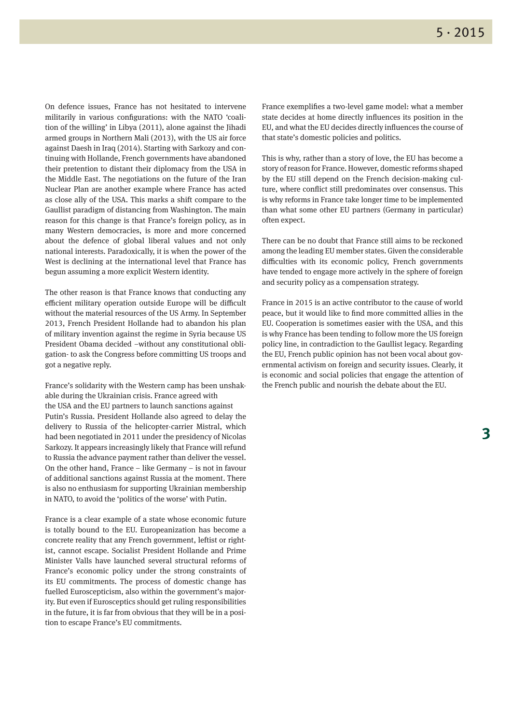On defence issues, France has not hesitated to intervene militarily in various configurations: with the NATO 'coalition of the willing' in Libya (2011), alone against the Jihadi armed groups in Northern Mali (2013), with the US air force against Daesh in Iraq (2014). Starting with Sarkozy and continuing with Hollande, French governments have abandoned their pretention to distant their diplomacy from the USA in the Middle East. The negotiations on the future of the Iran Nuclear Plan are another example where France has acted as close ally of the USA. This marks a shift compare to the Gaullist paradigm of distancing from Washington. The main reason for this change is that France's foreign policy, as in many Western democracies, is more and more concerned about the defence of global liberal values and not only national interests. Paradoxically, it is when the power of the West is declining at the international level that France has begun assuming a more explicit Western identity.

The other reason is that France knows that conducting any efficient military operation outside Europe will be difficult without the material resources of the US Army. In September 2013, French President Hollande had to abandon his plan of military invention against the regime in Syria because US President Obama decided –without any constitutional obligation- to ask the Congress before committing US troops and got a negative reply.

France's solidarity with the Western camp has been unshakable during the Ukrainian crisis. France agreed with the USA and the EU partners to launch sanctions against Putin's Russia. President Hollande also agreed to delay the delivery to Russia of the helicopter-carrier Mistral, which had been negotiated in 2011 under the presidency of Nicolas Sarkozy. It appears increasingly likely that France will refund to Russia the advance payment rather than deliver the vessel. On the other hand, France – like Germany – is not in favour of additional sanctions against Russia at the moment. There is also no enthusiasm for supporting Ukrainian membership in NATO, to avoid the 'politics of the worse' with Putin.

France is a clear example of a state whose economic future is totally bound to the EU. Europeanization has become a concrete reality that any French government, leftist or rightist, cannot escape. Socialist President Hollande and Prime Minister Valls have launched several structural reforms of France's economic policy under the strong constraints of its EU commitments. The process of domestic change has fuelled Euroscepticism, also within the government's majority. But even if Eurosceptics should get ruling responsibilities in the future, it is far from obvious that they will be in a position to escape France's EU commitments.

France exemplifies a two-level game model: what a member state decides at home directly influences its position in the EU, and what the EU decides directly influences the course of that state's domestic policies and politics.

This is why, rather than a story of love, the EU has become a story of reason for France. However, domestic reforms shaped by the EU still depend on the French decision-making culture, where conflict still predominates over consensus. This is why reforms in France take longer time to be implemented than what some other EU partners (Germany in particular) often expect.

There can be no doubt that France still aims to be reckoned among the leading EU member states. Given the considerable difficulties with its economic policy, French governments have tended to engage more actively in the sphere of foreign and security policy as a compensation strategy.

France in 2015 is an active contributor to the cause of world peace, but it would like to find more committed allies in the EU. Cooperation is sometimes easier with the USA, and this is why France has been tending to follow more the US foreign policy line, in contradiction to the Gaullist legacy. Regarding the EU, French public opinion has not been vocal about governmental activism on foreign and security issues. Clearly, it is economic and social policies that engage the attention of the French public and nourish the debate about the EU.